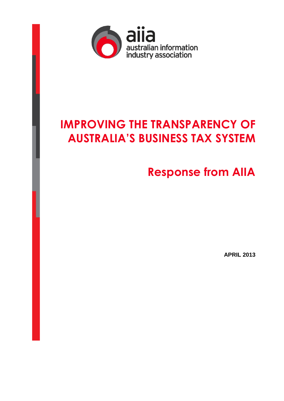

## **IMPROVING THE TRANSPARENCY OF AUSTRALIA'S BUSINESS TAX SYSTEM**

**Response from AIIA** 

**APRIL 2013**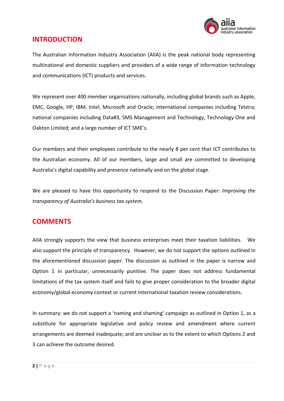

## **INTRODUCTION**

The Australian Information Industry Association (AIIA) is the peak national body representing multinational and domestic suppliers and providers of a wide range of information technology and communications (ICT) products and services.

We represent over 400 member organisations nationally, including global brands such as Apple, EMC, Google, HP, IBM, Intel, Microsoft and Oracle; international companies including Telstra; national companies including Data#3, SMS Management and Technology, Technology One and Oakton Limited; and a large number of ICT SME's.

Our members and their employees contribute to the nearly 8 per cent that ICT contributes to the Australian economy. All of our members, large and small are committed to developing Australia's digital capability and presence nationally and on the global stage.

We are pleased to have this opportunity to respond to the Discussion Paper: *Improving the transparency of Australia's business tax system.*

## **COMMENTS**

AIIA strongly supports the view that business enterprises meet their taxation liabilities. We also support the principle of transparency. However, we do not support the options outlined in the aforementioned discussion paper. The discussion as outlined in the paper is narrow and Option 1 in particular, unnecessarily punitive. The paper does not address fundamental limitations of the tax system itself and fails to give proper consideration to the broader digital economy/global economy context or current international taxation review considerations.

In summary: we do not support a 'naming and shaming' campaign as outlined in Option 1, as a substitute for appropriate legislative and policy review and amendment where current arrangements are deemed inadequate; and are unclear as to the extent to which Options 2 and 3 can achieve the outcome desired.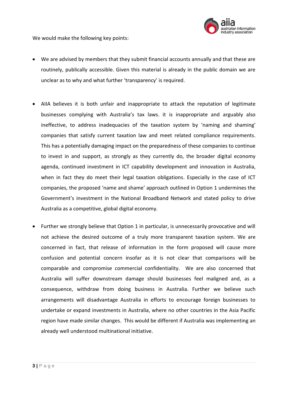

We would make the following key points:

- We are advised by members that they submit financial accounts annually and that these are routinely, publically accessible. Given this material is already in the public domain we are unclear as to why and what further 'transparency' is required.
- AIIA believes it is both unfair and inappropriate to attack the reputation of legitimate businesses complying with Australia's tax laws. it is inappropriate and arguably also ineffective, to address inadequacies of the taxation system by 'naming and shaming' companies that satisfy current taxation law and meet related compliance requirements. This has a potentially damaging impact on the preparedness of these companies to continue to invest in and support, as strongly as they currently do, the broader digital economy agenda, continued investment in ICT capability development and innovation in Australia, when in fact they do meet their legal taxation obligations. Especially in the case of ICT companies, the proposed 'name and shame' approach outlined in Option 1 undermines the Government's investment in the National Broadband Network and stated policy to drive Australia as a competitive, global digital economy.
- Further we strongly believe that Option 1 in particular, is unnecessarily provocative and will not achieve the desired outcome of a truly more transparent taxation system. We are concerned in fact, that release of information in the form proposed will cause more confusion and potential concern insofar as it is not clear that comparisons will be comparable and compromise commercial confidentiality. We are also concerned that Australia will suffer downstream damage should businesses feel maligned and, as a consequence, withdraw from doing business in Australia. Further we believe such arrangements will disadvantage Australia in efforts to encourage foreign businesses to undertake or expand investments in Australia, where no other countries in the Asia Pacific region have made similar changes. This would be different if Australia was implementing an already well understood multinational initiative.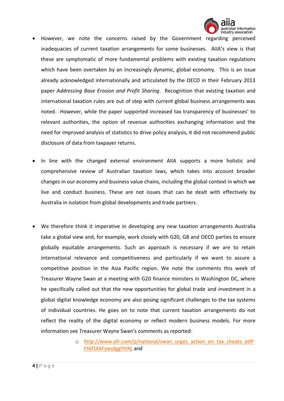

- However, we note the concerns raised by the Government regarding perceived inadequacies of current taxation arrangements for some businesses. AIIA's view is that these are symptomatic of more fundamental problems with existing taxation regulations which have been overtaken by an increasingly dynamic, global economy. This is an issue already acknowledged internationally and articulated by the OECD in their February 2013 paper *Addressing Base Erosion and Profit Sharing*. Recognition that existing taxation and international taxation rules are out of step with current global business arrangements was noted. However, while the paper supported increased tax transparency of businesses' to relevant authorities, the option of revenue authorities exchanging information and the need for improved analysis of statistics to drive policy analysis, it did not recommend public disclosure of data from taxpayer returns.
- In line with the changed external environment AIIA supports a more holistic and comprehensive review of Australian taxation laws, which takes into account broader changes in our economy and business value chains, including the global context in which we live and conduct business. These are not issues that can be dealt with effectively by Australia in isolation from global developments and trade partners.
- We therefore think it imperative in developing any new taxation arrangements Australia take a global view and, for example, work closely with G20, G8 and OECD parties to ensure globally equitable arrangements. Such an approach is necessary if we are to retain international relevance and competitiveness and particularly if we want to assure a competitive position in the Asia Pacific region. We note the comments this week of Treasurer Wayne Swan at a meeting with G20 finance ministers in Washington DC, where he specifically called out that the new opportunities for global trade and investment in a global digital knowledge economy are also posing significant challenges to the tax systems of individual countries. He goes on to note that current taxation arrangements do not reflect the reality of the digital economy or reflect modern business models. For more information see Treasurer Wayne Swan's comments as reported:
	- o [http://www.afr.com/p/national/swan\\_urges\\_action\\_on\\_tax\\_cheats\\_etlP](http://www.afr.com/p/national/swan_urges_action_on_tax_cheats_etlPFt6f1KkFywolggYttN) [Ft6f1KkFywolggYttN;](http://www.afr.com/p/national/swan_urges_action_on_tax_cheats_etlPFt6f1KkFywolggYttN) and